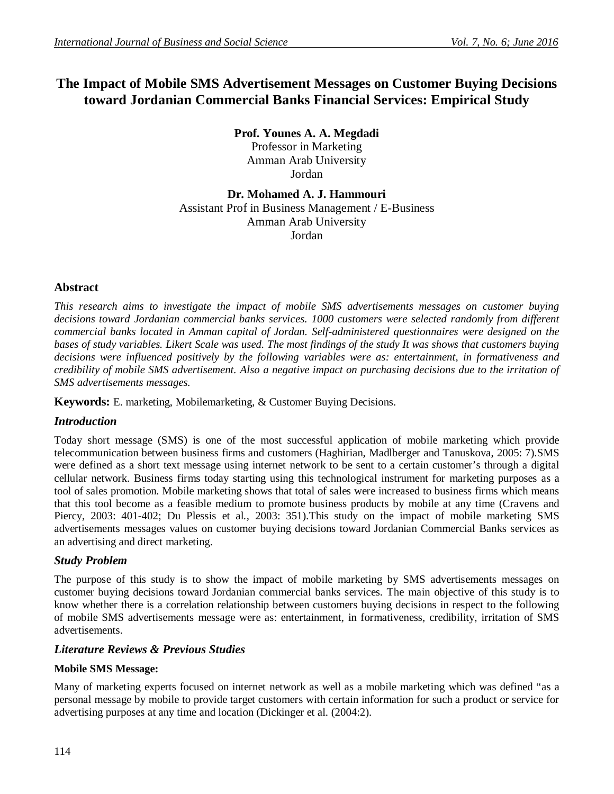# **The Impact of Mobile SMS Advertisement Messages on Customer Buying Decisions toward Jordanian Commercial Banks Financial Services: Empirical Study**

**Prof. Younes A. A. Megdadi**  Professor in Marketing Amman Arab University Jordan

**Dr. Mohamed A. J. Hammouri** Assistant Prof in Business Management / E-Business Amman Arab University Jordan

# **Abstract**

*This research aims to investigate the impact of mobile SMS advertisements messages on customer buying decisions toward Jordanian commercial banks services. 1000 customers were selected randomly from different commercial banks located in Amman capital of Jordan. Self-administered questionnaires were designed on the bases of study variables. Likert Scale was used. The most findings of the study It was shows that customers buying decisions were influenced positively by the following variables were as: entertainment, in formativeness and credibility of mobile SMS advertisement. Also a negative impact on purchasing decisions due to the irritation of SMS advertisements messages.*

**Keywords:** E. marketing, Mobilemarketing, & Customer Buying Decisions.

# *Introduction*

Today short message (SMS) is one of the most successful application of mobile marketing which provide telecommunication between business firms and customers (Haghirian, Madlberger and Tanuskova, 2005: 7).SMS were defined as a short text message using internet network to be sent to a certain customer's through a digital cellular network. Business firms today starting using this technological instrument for marketing purposes as a tool of sales promotion. Mobile marketing shows that total of sales were increased to business firms which means that this tool become as a feasible medium to promote business products by mobile at any time (Cravens and Piercy, 2003: 401-402; Du Plessis et al*.,* 2003: 351).This study on the impact of mobile marketing SMS advertisements messages values on customer buying decisions toward Jordanian Commercial Banks services as an advertising and direct marketing.

# *Study Problem*

The purpose of this study is to show the impact of mobile marketing by SMS advertisements messages on customer buying decisions toward Jordanian commercial banks services. The main objective of this study is to know whether there is a correlation relationship between customers buying decisions in respect to the following of mobile SMS advertisements message were as: entertainment, in formativeness, credibility, irritation of SMS advertisements.

# *Literature Reviews & Previous Studies*

# **Mobile SMS Message:**

Many of marketing experts focused on internet network as well as a mobile marketing which was defined "as a personal message by mobile to provide target customers with certain information for such a product or service for advertising purposes at any time and location (Dickinger et al. (2004:2).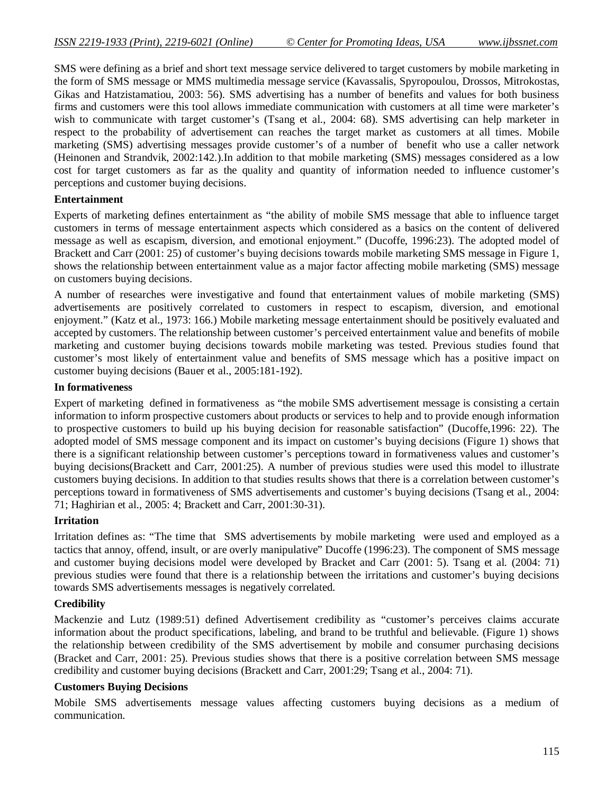SMS were defining as a brief and short text message service delivered to target customers by mobile marketing in the form of SMS message or MMS multimedia message service (Kavassalis, Spyropoulou, Drossos, Mitrokostas, Gikas and Hatzistamatiou, 2003: 56). SMS advertising has a number of benefits and values for both business firms and customers were this tool allows immediate communication with customers at all time were marketer's wish to communicate with target customer's (Tsang et al., 2004: 68). SMS advertising can help marketer in respect to the probability of advertisement can reaches the target market as customers at all times. Mobile marketing (SMS) advertising messages provide customer's of a number of benefit who use a caller network (Heinonen and Strandvik, 2002:142.).In addition to that mobile marketing (SMS) messages considered as a low cost for target customers as far as the quality and quantity of information needed to influence customer's perceptions and customer buying decisions.

#### **Entertainment**

Experts of marketing defines entertainment as "the ability of mobile SMS message that able to influence target customers in terms of message entertainment aspects which considered as a basics on the content of delivered message as well as escapism, diversion, and emotional enjoyment." (Ducoffe, 1996:23). The adopted model of Brackett and Carr (2001: 25) of customer's buying decisions towards mobile marketing SMS message in Figure 1, shows the relationship between entertainment value as a major factor affecting mobile marketing (SMS) message on customers buying decisions.

A number of researches were investigative and found that entertainment values of mobile marketing (SMS) advertisements are positively correlated to customers in respect to escapism, diversion, and emotional enjoyment." (Katz et al., 1973: 166.) Mobile marketing message entertainment should be positively evaluated and accepted by customers. The relationship between customer's perceived entertainment value and benefits of mobile marketing and customer buying decisions towards mobile marketing was tested. Previous studies found that customer's most likely of entertainment value and benefits of SMS message which has a positive impact on customer buying decisions (Bauer et al., 2005:181-192).

#### **In formativeness**

Expert of marketing defined in formativeness as "the mobile SMS advertisement message is consisting a certain information to inform prospective customers about products or services to help and to provide enough information to prospective customers to build up his buying decision for reasonable satisfaction" (Ducoffe,1996: 22). The adopted model of SMS message component and its impact on customer's buying decisions (Figure 1) shows that there is a significant relationship between customer's perceptions toward in formativeness values and customer's buying decisions(Brackett and Carr, 2001:25). A number of previous studies were used this model to illustrate customers buying decisions. In addition to that studies results shows that there is a correlation between customer's perceptions toward in formativeness of SMS advertisements and customer's buying decisions (Tsang et al., 2004: 71; Haghirian et al., 2005: 4; Brackett and Carr, 2001:30-31).

#### **Irritation**

Irritation defines as: "The time that SMS advertisements by mobile marketing were used and employed as a tactics that annoy, offend, insult, or are overly manipulative" Ducoffe (1996:23). The component of SMS message and customer buying decisions model were developed by Bracket and Carr (2001: 5). Tsang et al*.* (2004: 71) previous studies were found that there is a relationship between the irritations and customer's buying decisions towards SMS advertisements messages is negatively correlated.

#### **Credibility**

Mackenzie and Lutz (1989:51) defined Advertisement credibility as "customer's perceives claims accurate information about the product specifications, labeling, and brand to be truthful and believable. (Figure 1) shows the relationship between credibility of the SMS advertisement by mobile and consumer purchasing decisions (Bracket and Carr, 2001: 25). Previous studies shows that there is a positive correlation between SMS message credibility and customer buying decisions (Brackett and Carr, 2001:29; Tsang *e*t al., 2004: 71).

#### **Customers Buying Decisions**

Mobile SMS advertisements message values affecting customers buying decisions as a medium of communication.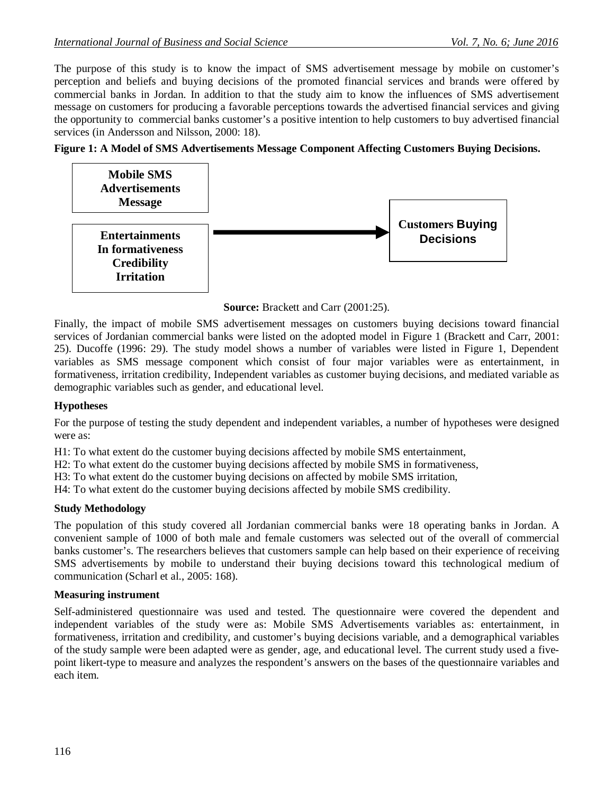The purpose of this study is to know the impact of SMS advertisement message by mobile on customer's perception and beliefs and buying decisions of the promoted financial services and brands were offered by commercial banks in Jordan. In addition to that the study aim to know the influences of SMS advertisement message on customers for producing a favorable perceptions towards the advertised financial services and giving the opportunity to commercial banks customer's a positive intention to help customers to buy advertised financial services (in Andersson and Nilsson, 2000: 18).

# **Figure 1: A Model of SMS Advertisements Message Component Affecting Customers Buying Decisions.**



**Source:** Brackett and Carr (2001:25).

Finally, the impact of mobile SMS advertisement messages on customers buying decisions toward financial services of Jordanian commercial banks were listed on the adopted model in Figure 1 (Brackett and Carr, 2001: 25). Ducoffe (1996: 29). The study model shows a number of variables were listed in Figure 1, Dependent variables as SMS message component which consist of four major variables were as entertainment, in formativeness, irritation credibility, Independent variables as customer buying decisions, and mediated variable as demographic variables such as gender, and educational level.

# **Hypotheses**

For the purpose of testing the study dependent and independent variables, a number of hypotheses were designed were as:

H1: To what extent do the customer buying decisions affected by mobile SMS entertainment,

H2: To what extent do the customer buying decisions affected by mobile SMS in formativeness,

H3: To what extent do the customer buying decisions on affected by mobile SMS irritation,

H4: To what extent do the customer buying decisions affected by mobile SMS credibility.

# **Study Methodology**

The population of this study covered all Jordanian commercial banks were 18 operating banks in Jordan. A convenient sample of 1000 of both male and female customers was selected out of the overall of commercial banks customer's. The researchers believes that customers sample can help based on their experience of receiving SMS advertisements by mobile to understand their buying decisions toward this technological medium of communication (Scharl et al., 2005: 168).

# **Measuring instrument**

Self-administered questionnaire was used and tested. The questionnaire were covered the dependent and independent variables of the study were as: Mobile SMS Advertisements variables as: entertainment, in formativeness, irritation and credibility, and customer's buying decisions variable, and a demographical variables of the study sample were been adapted were as gender, age, and educational level. The current study used a fivepoint likert-type to measure and analyzes the respondent's answers on the bases of the questionnaire variables and each item.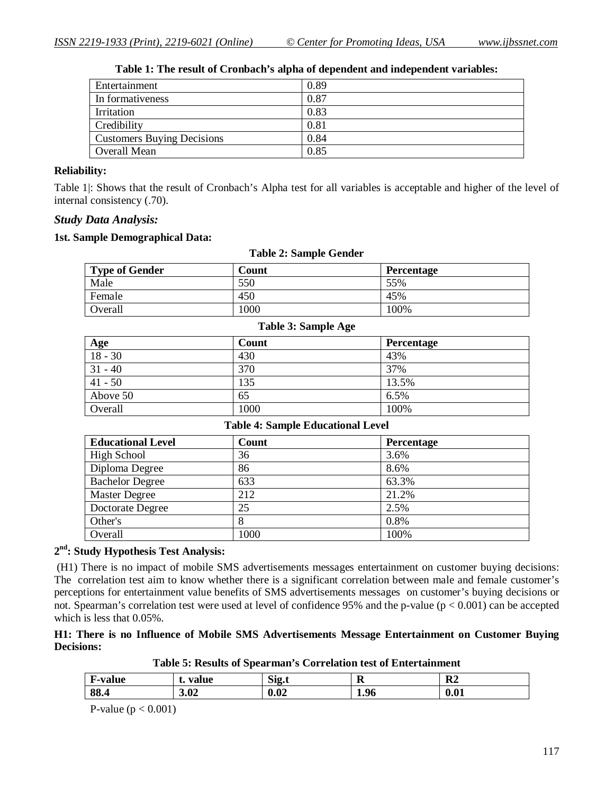| 0.89 |
|------|
| 0.87 |
| 0.83 |
| 0.81 |
| 0.84 |
| 0.85 |
|      |

# **Table 1: The result of Cronbach's alpha of dependent and independent variables:**

#### **Reliability:**

Table 1|: Shows that the result of Cronbach's Alpha test for all variables is acceptable and higher of the level of internal consistency (.70).

#### *Study Data Analysis:*

#### **1st. Sample Demographical Data:**

| rabic 2. Banipic Genuci |       |                   |  |  |
|-------------------------|-------|-------------------|--|--|
| <b>Type of Gender</b>   | Count | <b>Percentage</b> |  |  |
| Male                    | 550   | 55%               |  |  |
| Female                  | 450   | 45%               |  |  |
| Overall                 | 1000  | 100%              |  |  |

**Table 2: Sample Gender**

#### **Table 3: Sample Age**

| <b>Age</b> | Count | <b>Percentage</b> |
|------------|-------|-------------------|
| $18 - 30$  | 430   | 43%               |
| $31 - 40$  | 370   | 37%               |
| $41 - 50$  | 135   | 13.5%             |
| Above 50   | 65    | 6.5%              |
| Overall    | 1000  | 100%              |

#### **Table 4: Sample Educational Level**

| <b>Educational Level</b> | Count | Percentage |
|--------------------------|-------|------------|
| <b>High School</b>       | 36    | 3.6%       |
| Diploma Degree           | 86    | 8.6%       |
| <b>Bachelor Degree</b>   | 633   | 63.3%      |
| <b>Master Degree</b>     | 212   | 21.2%      |
| Doctorate Degree         | 25    | 2.5%       |
| Other's                  | 8     | 0.8%       |
| Overall                  | 1000  | 100%       |

# **2 nd: Study Hypothesis Test Analysis:**

(H1) There is no impact of mobile SMS advertisements messages entertainment on customer buying decisions: The correlation test aim to know whether there is a significant correlation between male and female customer's perceptions for entertainment value benefits of SMS advertisements messages on customer's buying decisions or not. Spearman's correlation test were used at level of confidence 95% and the p-value  $(p < 0.001)$  can be accepted which is less that 0.05%.

#### **H1: There is no Influence of Mobile SMS Advertisements Message Entertainment on Customer Buying Decisions:**

| F-value | value | $\sim$               | D    | D <sub>2</sub> |
|---------|-------|----------------------|------|----------------|
| л.      | ⋅.    | .512.t               | A    | R4             |
| 88.4    | 3.02  | $\mathbf{A}$<br>v.v4 | 1.96 | 0.01           |

P-value ( $p < 0.001$ )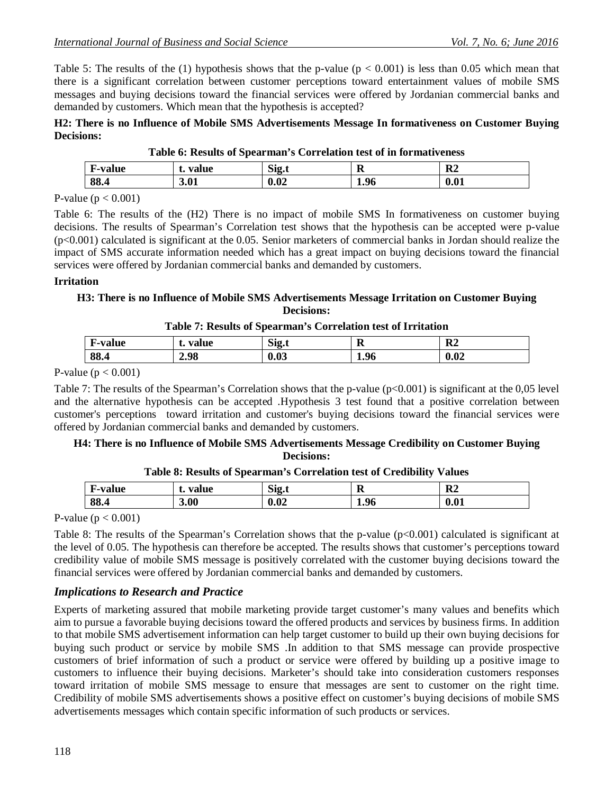Table 5: The results of the (1) hypothesis shows that the p-value ( $p < 0.001$ ) is less than 0.05 which mean that there is a significant correlation between customer perceptions toward entertainment values of mobile SMS messages and buying decisions toward the financial services were offered by Jordanian commercial banks and demanded by customers. Which mean that the hypothesis is accepted?

#### **H2: There is no Influence of Mobile SMS Advertisements Message In formativeness on Customer Buying Decisions:**

| F-value | value<br>⋅. | Sig.t | R    | R <sub>2</sub> |
|---------|-------------|-------|------|----------------|
| 88.4    | 3.01        | 0.02  | 1.96 | 0.01           |
|         |             |       |      |                |

|  |  |  | Table 6: Results of Spearman's Correlation test of in formativeness |
|--|--|--|---------------------------------------------------------------------|
|  |  |  |                                                                     |

P-value ( $p < 0.001$ )

Table 6: The results of the (H2) There is no impact of mobile SMS In formativeness on customer buying decisions. The results of Spearman's Correlation test shows that the hypothesis can be accepted were p-value (p<0.001) calculated is significant at the 0.05. Senior marketers of commercial banks in Jordan should realize the impact of SMS accurate information needed which has a great impact on buying decisions toward the financial services were offered by Jordanian commercial banks and demanded by customers.

#### **Irritation**

# **H3: There is no Influence of Mobile SMS Advertisements Message Irritation on Customer Buying Decisions:**

#### **Table 7: Results of Spearman's Correlation test of Irritation**

| <b>F-value</b><br>- 11 | value<br>ъ. | Sig.t | л    | R <sub>2</sub> |
|------------------------|-------------|-------|------|----------------|
| 88.4                   | 2.98        | 0.03  | 1.96 | 0.02           |

#### P-value ( $p < 0.001$ )

Table 7: The results of the Spearman's Correlation shows that the p-value  $(p<0.001)$  is significant at the 0,05 level and the alternative hypothesis can be accepted .Hypothesis 3 test found that a positive correlation between customer's perceptions toward irritation and customer's buying decisions toward the financial services were offered by Jordanian commercial banks and demanded by customers.

#### **H4: There is no Influence of Mobile SMS Advertisements Message Credibility on Customer Buying Decisions:**

| <b>F-value</b> | value<br>⋅. | Sig.t | R    | R <sub>2</sub> |
|----------------|-------------|-------|------|----------------|
| 88.4           | 3.00        | 0.02  | 1.96 | 0.01           |

#### **Table 8: Results of Spearman's Correlation test of Credibility Values**

P-value ( $p < 0.001$ )

Table 8: The results of the Spearman's Correlation shows that the p-value  $(p<0.001)$  calculated is significant at the level of 0.05. The hypothesis can therefore be accepted. The results shows that customer's perceptions toward credibility value of mobile SMS message is positively correlated with the customer buying decisions toward the financial services were offered by Jordanian commercial banks and demanded by customers.

# *Implications to Research and Practice*

Experts of marketing assured that mobile marketing provide target customer's many values and benefits which aim to pursue a favorable buying decisions toward the offered products and services by business firms. In addition to that mobile SMS advertisement information can help target customer to build up their own buying decisions for buying such product or service by mobile SMS .In addition to that SMS message can provide prospective customers of brief information of such a product or service were offered by building up a positive image to customers to influence their buying decisions. Marketer's should take into consideration customers responses toward irritation of mobile SMS message to ensure that messages are sent to customer on the right time. Credibility of mobile SMS advertisements shows a positive effect on customer's buying decisions of mobile SMS advertisements messages which contain specific information of such products or services.